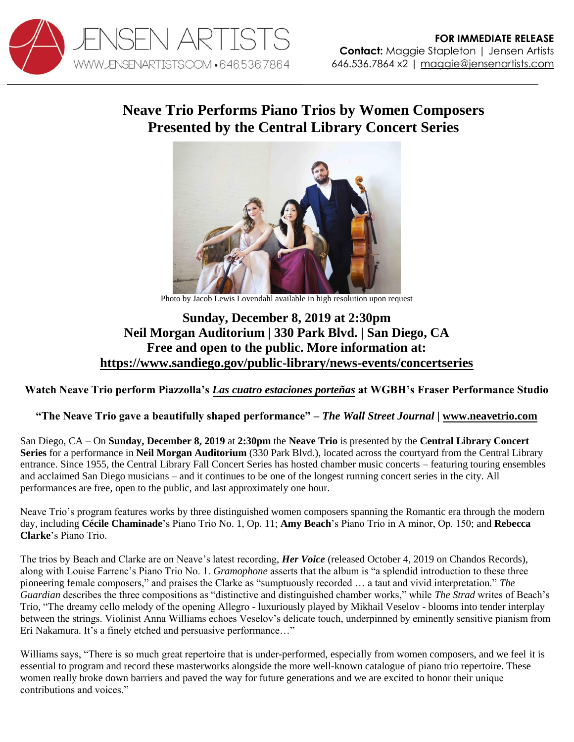

## **Neave Trio Performs Piano Trios by Women Composers Presented by the Central Library Concert Series**



Photo by Jacob Lewis Lovendahl available in high resolution upon request

## **Sunday, December 8, 2019 at 2:30pm Neil Morgan Auditorium | 330 Park Blvd. | San Diego, CA Free and open to the public. More information at: <https://www.sandiego.gov/public-library/news-events/concertseries>**

**Watch Neave Trio perform Piazzolla's** *[Las cuatro estaciones porteñas](https://youtu.be/Xs3a6h4OV-E)* **at WGBH's Fraser Performance Studio**

## **"The Neave Trio gave a beautifully shaped performance"** *– The Wall Street Journal |* **[www.neavetrio.com](http://www.neavetrio.com/)**

San Diego, CA – On **Sunday, December 8, 2019** at **2:30pm** the **Neave Trio** is presented by the **Central Library Concert Series** for a performance in **Neil Morgan Auditorium** (330 Park Blvd.), located across the courtyard from the Central Library entrance. Since 1955, the Central Library Fall Concert Series has hosted chamber music concerts – featuring touring ensembles and acclaimed San Diego musicians – and it continues to be one of the longest running concert series in the city. All performances are free, open to the public, and last approximately one hour.

Neave Trio's program features works by three distinguished women composers spanning the Romantic era through the modern day, including **Cécile Chaminade**'s Piano Trio No. 1, Op. 11; **Amy Beach**'s Piano Trio in A minor, Op. 150; and **Rebecca Clarke**'s Piano Trio.

The trios by Beach and Clarke are on Neave's latest recording, *Her Voice* (released October 4, 2019 on Chandos Records), along with Louise Farrenc's Piano Trio No. 1. *Gramophone* asserts that the album is "a splendid introduction to these three pioneering female composers," and praises the Clarke as "sumptuously recorded … a taut and vivid interpretation." *The Guardian* describes the three compositions as "distinctive and distinguished chamber works," while *The Strad* writes of Beach's Trio, "The dreamy cello melody of the opening Allegro - luxuriously played by Mikhail Veselov - blooms into tender interplay between the strings. Violinist Anna Williams echoes Veselov's delicate touch, underpinned by eminently sensitive pianism from Eri Nakamura. It's a finely etched and persuasive performance…"

Williams says, "There is so much great repertoire that is under-performed, especially from women composers, and we feel it is essential to program and record these masterworks alongside the more well-known catalogue of piano trio repertoire. These women really broke down barriers and paved the way for future generations and we are excited to honor their unique contributions and voices."